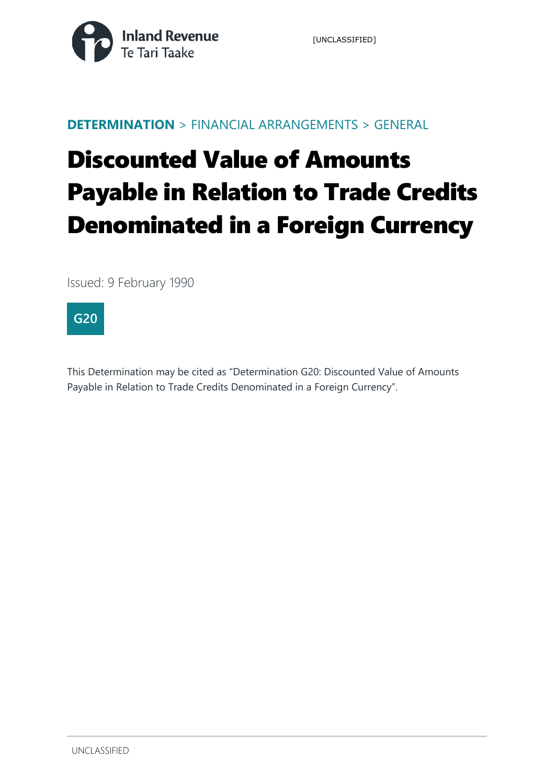

#### **DETERMINATION** > FINANCIAL ARRANGEMENTS > GENERAL

# Discounted Value of Amounts Payable in Relation to Trade Credits Denominated in a Foreign Currency

Issued: 9 February 1990



This Determination may be cited as "Determination G20: Discounted Value of Amounts Payable in Relation to Trade Credits Denominated in a Foreign Currency".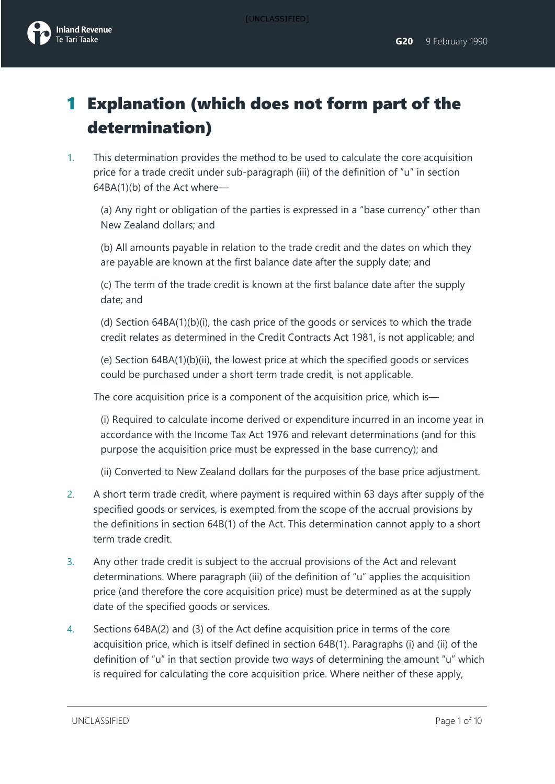

# 1 Explanation (which does not form part of the determination)

1. This determination provides the method to be used to calculate the core acquisition price for a trade credit under sub-paragraph (iii) of the definition of "u" in section 64BA(1)(b) of the Act where—

(a) Any right or obligation of the parties is expressed in a "base currency" other than New Zealand dollars; and

(b) All amounts payable in relation to the trade credit and the dates on which they are payable are known at the first balance date after the supply date; and

(c) The term of the trade credit is known at the first balance date after the supply date; and

(d) Section 64BA(1)(b)(i), the cash price of the goods or services to which the trade credit relates as determined in the Credit Contracts Act 1981, is not applicable; and

(e) Section [64BA\(1\)\(b\)\(ii\),](javascript:void(0)) the lowest price at which the specified goods or services could be purchased under a short term trade credit, is not applicable.

The core acquisition price is a component of the acquisition price, which is—

(i) Required to calculate income derived or expenditure incurred in an income year in accordance with the Income Tax Act 1976 and relevant determinations (and for this purpose the acquisition price must be expressed in the base currency); and

(ii) Converted to New Zealand dollars for the purposes of the base price adjustment.

- 2. A short term trade credit, where payment is required within 63 days after supply of the specified goods or services, is exempted from the scope of the accrual provisions by the definitions in section 64B(1) of the Act. This determination cannot apply to a short term trade credit.
- 3. Any other trade credit is subject to the accrual provisions of the Act and relevant determinations. Where paragraph (iii) of the definition of "u" applies the acquisition price (and therefore the core acquisition price) must be determined as at the supply date of the specified goods or services.
- 4. Sections 64BA(2) and (3) of the Act define acquisition price in terms of the core acquisition price, which is itself defined in section 64B(1). Paragraphs (i) and (ii) of the definition of "u" in that section provide two ways of determining the amount "u" which is required for calculating the core acquisition price. Where neither of these apply,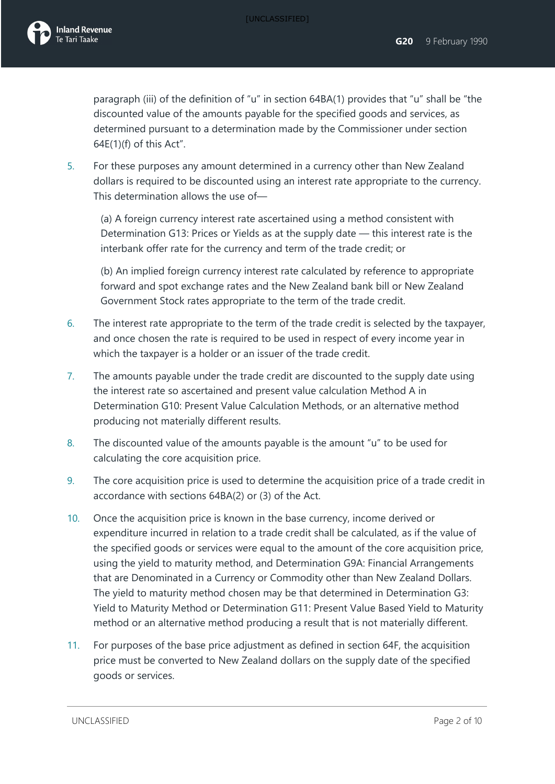paragraph (iii) of the definition of "u" in section 64BA(1) provides that "u" shall be "the discounted value of the amounts payable for the specified goods and services, as determined pursuant to a determination made by the Commissioner under section 64E(1)(f) of this Act".

5. For these purposes any amount determined in a currency other than New Zealand dollars is required to be discounted using an interest rate appropriate to the currency. This determination allows the use of—

(a) A foreign currency interest rate ascertained using a method consistent with Determination G13: Prices or Yields as at the supply date — this interest rate is the interbank offer rate for the currency and term of the trade credit; or

(b) An implied foreign currency interest rate calculated by reference to appropriate forward and spot exchange rates and the New Zealand bank bill or New Zealand Government Stock rates appropriate to the term of the trade credit.

- 6. The interest rate appropriate to the term of the trade credit is selected by the taxpayer, and once chosen the rate is required to be used in respect of every income year in which the taxpayer is a holder or an issuer of the trade credit.
- 7. The amounts payable under the trade credit are discounted to the supply date using the interest rate so ascertained and present value calculation Method A in Determination G10: Present Value Calculation Methods, or an alternative method producing not materially different results.
- 8. The discounted value of the amounts payable is the amount "u" to be used for calculating the core acquisition price.
- 9. The core acquisition price is used to determine the acquisition price of a trade credit in accordance with sections 64BA(2) or (3) of the Act.
- 10. Once the acquisition price is known in the base currency, income derived or expenditure incurred in relation to a trade credit shall be calculated, as if the value of the specified goods or services were equal to the amount of the core acquisition price, using the yield to maturity method, and Determination G9A: Financial Arrangements that are Denominated in a Currency or Commodity other than New Zealand Dollars. The yield to maturity method chosen may be that determined in Determination G3: Yield to Maturity Method or Determination G11: Present Value Based Yield to Maturity method or an alternative method producing a result that is not materially different.
- 11. For purposes of the base price adjustment as defined in section 64F, the acquisition price must be converted to New Zealand dollars on the supply date of the specified goods or services.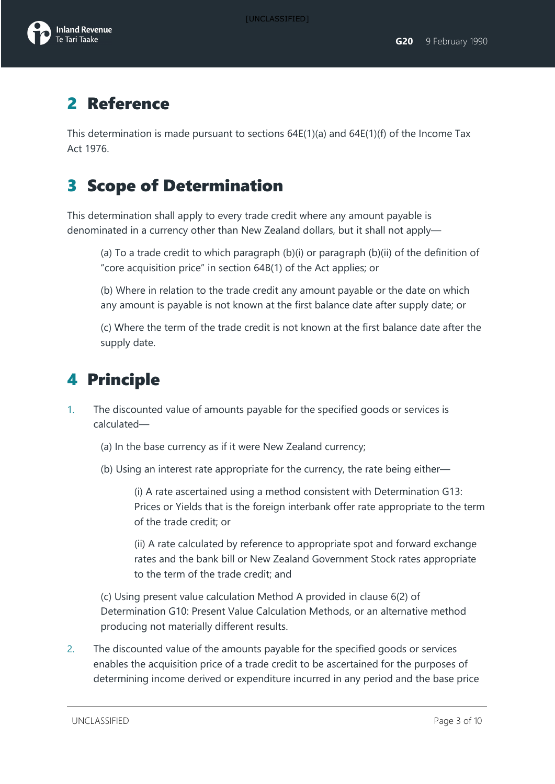### 2 Reference

This determination is made pursuant to sections  $64E(1)(a)$  and  $64E(1)(f)$  of the Income Tax Act 1976.

## 3 Scope of Determination

This determination shall apply to every trade credit where any amount payable is denominated in a currency other than New Zealand dollars, but it shall not apply—

(a) To a trade credit to which paragraph (b)(i) or paragraph (b)(ii) of the definition of "core acquisition price" in section 64B(1) of the Act applies; or

(b) Where in relation to the trade credit any amount payable or the date on which any amount is payable is not known at the first balance date after supply date; or

(c) Where the term of the trade credit is not known at the first balance date after the supply date.

## 4 Principle

- 1. The discounted value of amounts payable for the specified goods or services is calculated—
	- (a) In the base currency as if it were New Zealand currency;
	- (b) Using an interest rate appropriate for the currency, the rate being either—

(i) A rate ascertained using a method consistent with Determination G13: Prices or Yields that is the foreign interbank offer rate appropriate to the term of the trade credit; or

(ii) A rate calculated by reference to appropriate spot and forward exchange rates and the bank bill or New Zealand Government Stock rates appropriate to the term of the trade credit; and

(c) Using present value calculation Method A provided in clause 6(2) of Determination G10: Present Value Calculation Methods, or an alternative method producing not materially different results.

2. The discounted value of the amounts payable for the specified goods or services enables the acquisition price of a trade credit to be ascertained for the purposes of determining income derived or expenditure incurred in any period and the base price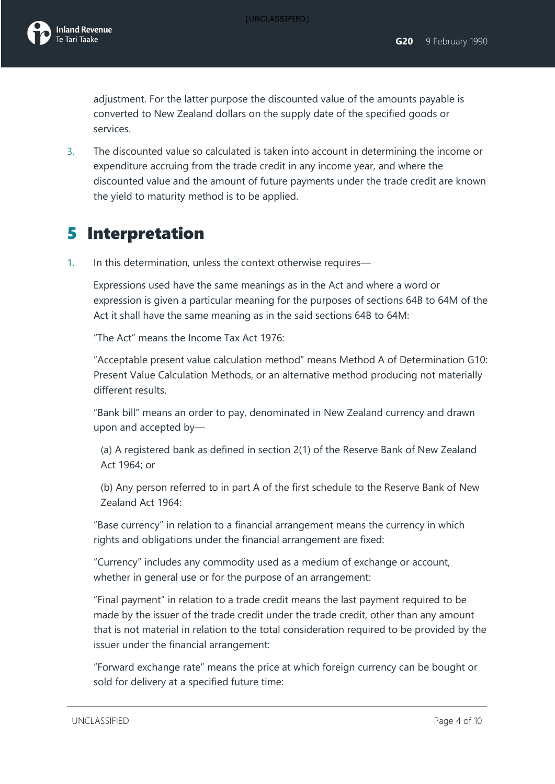adjustment. For the latter purpose the discounted value of the amounts payable is converted to New Zealand dollars on the supply date of the specified goods or services.

3. The discounted value so calculated is taken into account in determining the income or expenditure accruing from the trade credit in any income year, and where the discounted value and the amount of future payments under the trade credit are known the yield to maturity method is to be applied.

## 5 Interpretation

1. In this determination, unless the context otherwise requires—

Expressions used have the same meanings as in the Act and where a word or expression is given a particular meaning for the purposes of sections 64B to 64M of the Act it shall have the same meaning as in the said sections 64B to 64M:

"The Act" means the Income Tax Act 1976:

"Acceptable present value calculation method" means Method A of Determination G10: Present Value Calculation Methods, or an alternative method producing not materially different results.

"Bank bill" means an order to pay, denominated in New Zealand currency and drawn upon and accepted by—

(a) A registered bank as defined in section 2(1) of the Reserve Bank of New Zealand Act 1964; or

(b) Any person referred to in part A of the first schedule to the Reserve Bank of New Zealand Act 1964:

"Base currency" in relation to a financial arrangement means the currency in which rights and obligations under the financial arrangement are fixed:

"Currency" includes any commodity used as a medium of exchange or account, whether in general use or for the purpose of an arrangement:

"Final payment" in relation to a trade credit means the last payment required to be made by the issuer of the trade credit under the trade credit, other than any amount that is not material in relation to the total consideration required to be provided by the issuer under the financial arrangement:

"Forward exchange rate" means the price at which foreign currency can be bought or sold for delivery at a specified future time: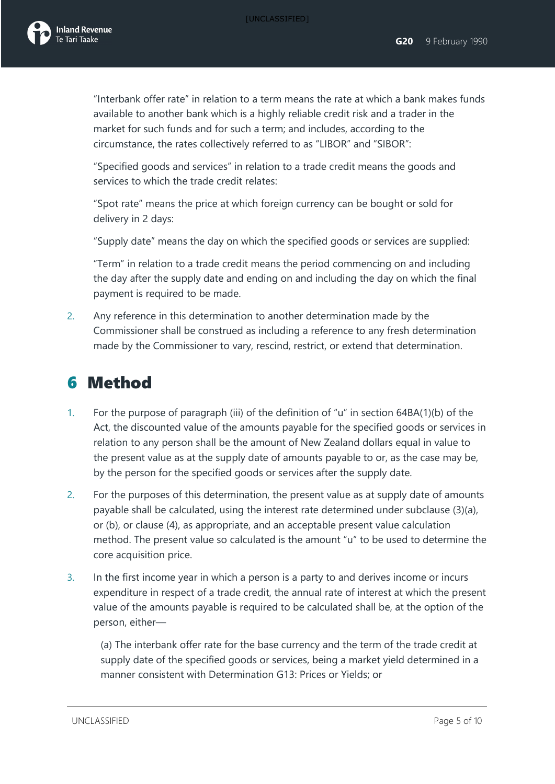

"Interbank offer rate" in relation to a term means the rate at which a bank makes funds available to another bank which is a highly reliable credit risk and a trader in the market for such funds and for such a term; and includes, according to the circumstance, the rates collectively referred to as "LIBOR" and "SIBOR":

"Specified goods and services" in relation to a trade credit means the goods and services to which the trade credit relates:

"Spot rate" means the price at which foreign currency can be bought or sold for delivery in 2 days:

"Supply date" means the day on which the specified goods or services are supplied:

"Term" in relation to a trade credit means the period commencing on and including the day after the supply date and ending on and including the day on which the final payment is required to be made.

2. Any reference in this determination to another determination made by the Commissioner shall be construed as including a reference to any fresh determination made by the Commissioner to vary, rescind, restrict, or extend that determination.

#### 6 Method

- 1. For the purpose of paragraph (iii) of the definition of "u" in section 64BA(1)(b) of the Act, the discounted value of the amounts payable for the specified goods or services in relation to any person shall be the amount of New Zealand dollars equal in value to the present value as at the supply date of amounts payable to or, as the case may be, by the person for the specified goods or services after the supply date.
- 2. For the purposes of this determination, the present value as at supply date of amounts payable shall be calculated, using the interest rate determined under subclause (3)(a), or (b), or clause (4), as appropriate, and an acceptable present value calculation method. The present value so calculated is the amount "u" to be used to determine the core acquisition price.
- 3. In the first income year in which a person is a party to and derives income or incurs expenditure in respect of a trade credit, the annual rate of interest at which the present value of the amounts payable is required to be calculated shall be, at the option of the person, either—

(a) The interbank offer rate for the base currency and the term of the trade credit at supply date of the specified goods or services, being a market yield determined in a manner consistent with Determination G13: Prices or Yields; or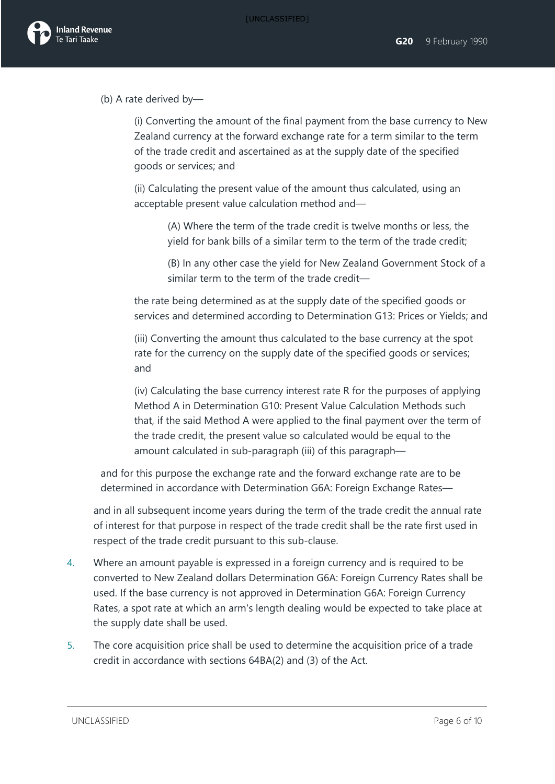

(b) A rate derived by—

(i) Converting the amount of the final payment from the base currency to New Zealand currency at the forward exchange rate for a term similar to the term of the trade credit and ascertained as at the supply date of the specified goods or services; and

(ii) Calculating the present value of the amount thus calculated, using an acceptable present value calculation method and—

> (A) Where the term of the trade credit is twelve months or less, the yield for bank bills of a similar term to the term of the trade credit;

(B) In any other case the yield for New Zealand Government Stock of a similar term to the term of the trade credit—

the rate being determined as at the supply date of the specified goods or services and determined according to Determination G13: Prices or Yields; and

(iii) Converting the amount thus calculated to the base currency at the spot rate for the currency on the supply date of the specified goods or services; and

(iv) Calculating the base currency interest rate R for the purposes of applying Method A in Determination G10: Present Value Calculation Methods such that, if the said Method A were applied to the final payment over the term of the trade credit, the present value so calculated would be equal to the amount calculated in sub-paragraph (iii) of this paragraph—

and for this purpose the exchange rate and the forward exchange rate are to be determined in accordance with Determination G6A: Foreign Exchange Rates—

and in all subsequent income years during the term of the trade credit the annual rate of interest for that purpose in respect of the trade credit shall be the rate first used in respect of the trade credit pursuant to this sub-clause.

- 4. Where an amount payable is expressed in a foreign currency and is required to be converted to New Zealand dollars Determination G6A: Foreign Currency Rates shall be used. If the base currency is not approved in Determination G6A: Foreign Currency Rates, a spot rate at which an arm's length dealing would be expected to take place at the supply date shall be used.
- 5. The core acquisition price shall be used to determine the acquisition price of a trade credit in accordance with sections 64BA(2) and (3) of the Act.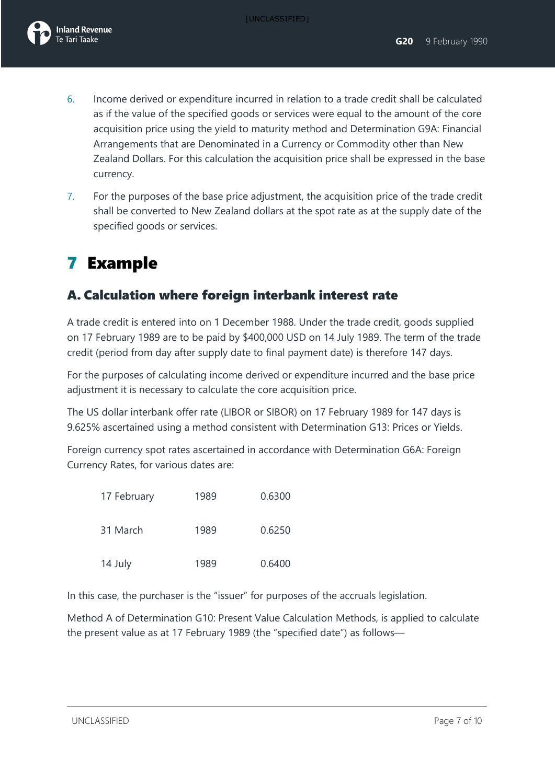- 6. Income derived or expenditure incurred in relation to a trade credit shall be calculated as if the value of the specified goods or services were equal to the amount of the core acquisition price using the yield to maturity method and Determination G9A: Financial Arrangements that are Denominated in a Currency or Commodity other than New Zealand Dollars. For this calculation the acquisition price shall be expressed in the base currency.
- 7. For the purposes of the base price adjustment, the acquisition price of the trade credit shall be converted to New Zealand dollars at the spot rate as at the supply date of the specified goods or services.

# 7 Example

#### A. Calculation where foreign interbank interest rate

A trade credit is entered into on 1 December 1988. Under the trade credit, goods supplied on 17 February 1989 are to be paid by \$400,000 USD on 14 July 1989. The term of the trade credit (period from day after supply date to final payment date) is therefore 147 days.

For the purposes of calculating income derived or expenditure incurred and the base price adjustment it is necessary to calculate the core acquisition price.

The US dollar interbank offer rate (LIBOR or SIBOR) on 17 February 1989 for 147 days is 9.625% ascertained using a method consistent with Determination G13: Prices or Yields.

Foreign currency spot rates ascertained in accordance with Determination G6A: Foreign Currency Rates, for various dates are:

| 17 February | 1989 | 0.6300 |
|-------------|------|--------|
| 31 March    | 1989 | 0.6250 |
| 14 July     | 1989 | 0.6400 |

In this case, the purchaser is the "issuer" for purposes of the accruals legislation.

Method A of Determination G10: Present Value Calculation Methods, is applied to calculate the present value as at 17 February 1989 (the "specified date") as follows—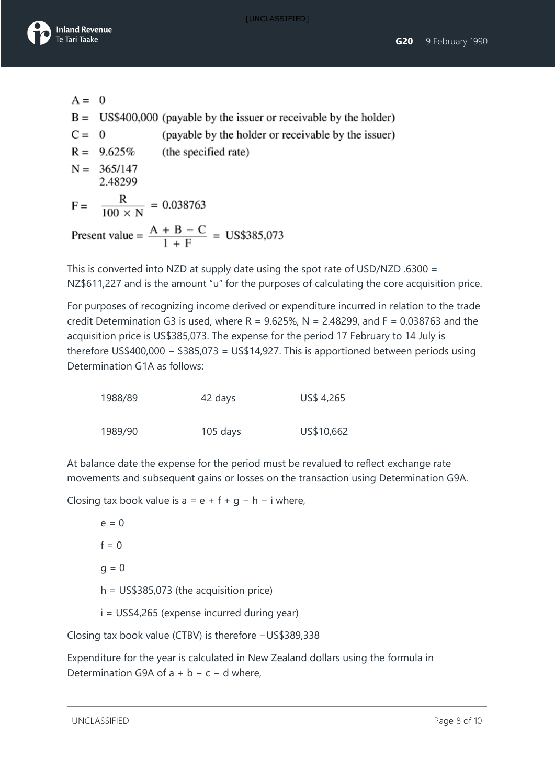



A = 0  
\nB = US\$400,000 (payable by the issuer or receiveable by the holder)  
\nC = 0 (payable by the holder or receiveable by the issuer)  
\nR = 9.625% (the specified rate)  
\nN = 365/147  
\n2.48299  
\nF = 
$$
\frac{R}{100 \times N}
$$
 = 0.038763  
\nPresent value =  $\frac{A + B - C}{1 + F}$  = US\$385,073

This is converted into NZD at supply date using the spot rate of USD/NZD .6300 = NZ\$611,227 and is the amount "u" for the purposes of calculating the core acquisition price.

For purposes of recognizing income derived or expenditure incurred in relation to the trade credit Determination G3 is used, where R =  $9.625\%$ , N = 2.48299, and F = 0.038763 and the acquisition price is US\$385,073. The expense for the period 17 February to 14 July is therefore US\$400,000 − \$385,073 = US\$14,927. This is apportioned between periods using Determination G1A as follows:

| 1988/89 | 42 days  | US\$ 4,265 |
|---------|----------|------------|
| 1989/90 | 105 days | US\$10,662 |

At balance date the expense for the period must be revalued to reflect exchange rate movements and subsequent gains or losses on the transaction using Determination G9A.

Closing tax book value is  $a = e + f + g - h - i$  where,

 $e = 0$  $f = 0$  $q = 0$  $h = US$385,073$  (the acquisition price) i = US\$4,265 (expense incurred during year)

Closing tax book value (CTBV) is therefore −US\$389,338

Expenditure for the year is calculated in New Zealand dollars using the formula in Determination G9A of a + b − c − d where,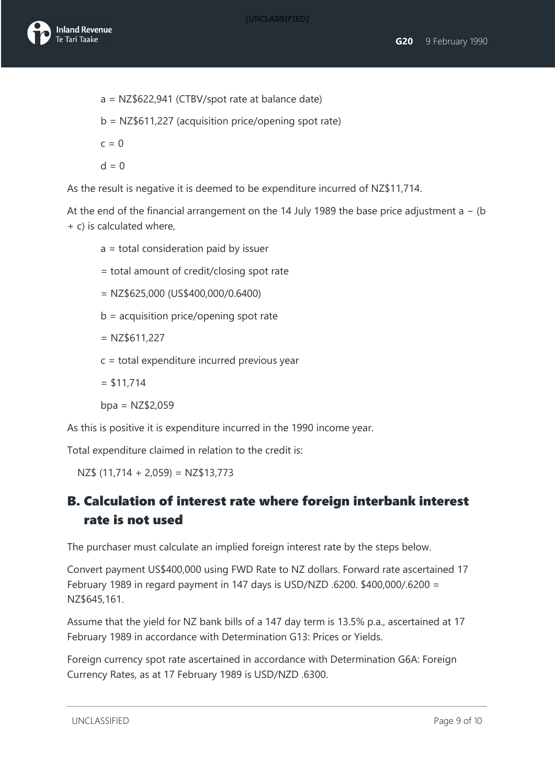

- a = NZ\$622,941 (CTBV/spot rate at balance date) b = NZ\$611,227 (acquisition price/opening spot rate)  $c = 0$
- $d = 0$

As the result is negative it is deemed to be expenditure incurred of NZ\$11,714.

At the end of the financial arrangement on the 14 July 1989 the base price adjustment a − (b + c) is calculated where,

- a = total consideration paid by issuer
- = total amount of credit/closing spot rate
- = NZ\$625,000 (US\$400,000/0.6400)
- b = acquisition price/opening spot rate
- $=$  NZ\$611,227
- c = total expenditure incurred previous year
- $= $11,714$

 $bpa = NZ$2,059$ 

As this is positive it is expenditure incurred in the 1990 income year.

Total expenditure claimed in relation to the credit is:

 $NZ$$  (11,714 + 2,059) = NZ\$13,773

#### B. Calculation of interest rate where foreign interbank interest rate is not used

The purchaser must calculate an implied foreign interest rate by the steps below.

Convert payment US\$400,000 using FWD Rate to NZ dollars. Forward rate ascertained 17 February 1989 in regard payment in 147 days is USD/NZD .6200. \$400,000/.6200 = NZ\$645,161.

Assume that the yield for NZ bank bills of a 147 day term is 13.5% p.a., ascertained at 17 February 1989 in accordance with Determination G13: Prices or Yields.

Foreign currency spot rate ascertained in accordance with Determination G6A: Foreign Currency Rates, as at 17 February 1989 is USD/NZD .6300.